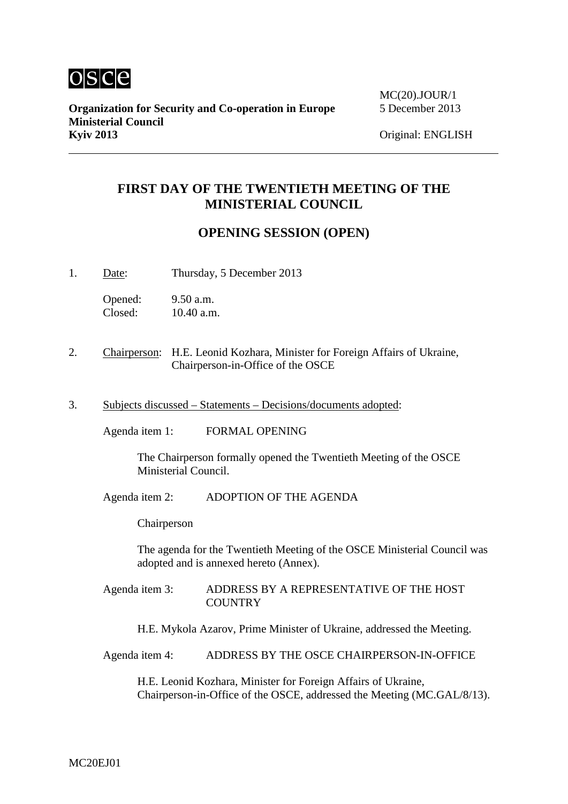

# **FIRST DAY OF THE TWENTIETH MEETING OF THE MINISTERIAL COUNCIL**

## **OPENING SESSION (OPEN)**

1. Date: Thursday, 5 December 2013

Opened: 9.50 a.m.<br>Closed: 10.40 a.m 10.40 a.m.

- 2. Chairperson: H.E. Leonid Kozhara, Minister for Foreign Affairs of Ukraine, Chairperson-in-Office of the OSCE
- 3. Subjects discussed Statements Decisions/documents adopted:

Agenda item 1: FORMAL OPENING

The Chairperson formally opened the Twentieth Meeting of the OSCE Ministerial Council.

Agenda item 2: ADOPTION OF THE AGENDA

Chairperson

The agenda for the Twentieth Meeting of the OSCE Ministerial Council was adopted and is annexed hereto (Annex).

Agenda item 3: ADDRESS BY A REPRESENTATIVE OF THE HOST **COUNTRY** 

H.E. Mykola Azarov, Prime Minister of Ukraine, addressed the Meeting.

Agenda item 4: ADDRESS BY THE OSCE CHAIRPERSON-IN-OFFICE

H.E. Leonid Kozhara, Minister for Foreign Affairs of Ukraine, Chairperson-in-Office of the OSCE, addressed the Meeting (MC.GAL/8/13).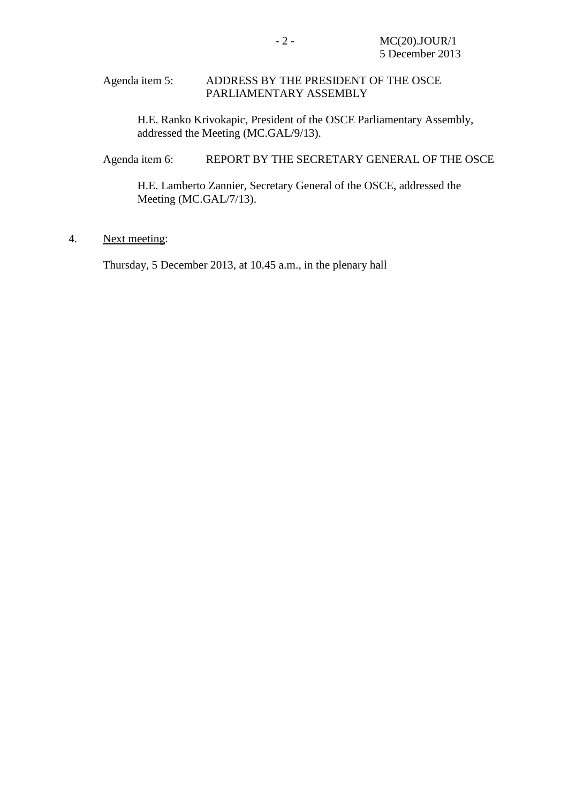#### Agenda item 5: ADDRESS BY THE PRESIDENT OF THE OSCE PARLIAMENTARY ASSEMBLY

H.E. Ranko Krivokapic, President of the OSCE Parliamentary Assembly, addressed the Meeting (MC.GAL/9/13).

Agenda item 6: REPORT BY THE SECRETARY GENERAL OF THE OSCE

H.E. Lamberto Zannier, Secretary General of the OSCE, addressed the Meeting (MC.GAL/7/13).

### 4. Next meeting:

Thursday, 5 December 2013, at 10.45 a.m., in the plenary hall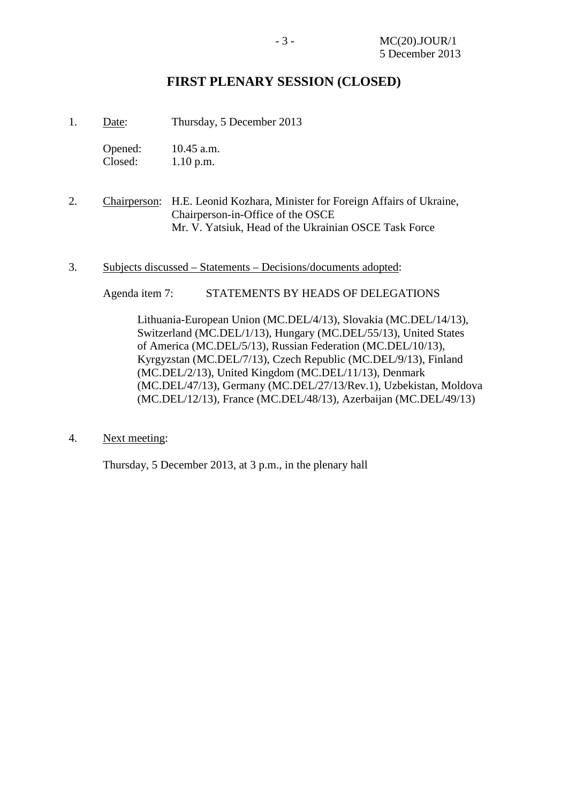## **FIRST PLENARY SESSION (CLOSED)**

- 1. Date: Thursday, 5 December 2013
	- Opened: 10.45 a.m.<br>Closed: 1.10 p.m.  $1.10$  p.m.
- 2. Chairperson: H.E. Leonid Kozhara, Minister for Foreign Affairs of Ukraine, Chairperson-in-Office of the OSCE Mr. V. Yatsiuk, Head of the Ukrainian OSCE Task Force
- 3. Subjects discussed Statements Decisions/documents adopted:

Agenda item 7: STATEMENTS BY HEADS OF DELEGATIONS

Lithuania-European Union (MC.DEL/4/13), Slovakia (MC.DEL/14/13), Switzerland (MC.DEL/1/13), Hungary (MC.DEL/55/13), United States of America (MC.DEL/5/13), Russian Federation (MC.DEL/10/13), Kyrgyzstan (MC.DEL/7/13), Czech Republic (MC.DEL/9/13), Finland (MC.DEL/2/13), United Kingdom (MC.DEL/11/13), Denmark (MC.DEL/47/13), Germany (MC.DEL/27/13/Rev.1), Uzbekistan, Moldova (MC.DEL/12/13), France (MC.DEL/48/13), Azerbaijan (MC.DEL/49/13)

4. Next meeting:

Thursday, 5 December 2013, at 3 p.m., in the plenary hall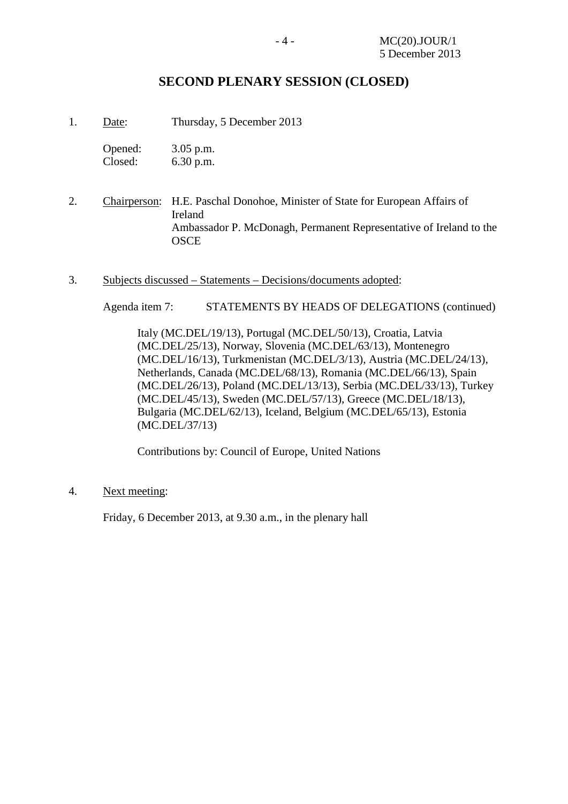## **SECOND PLENARY SESSION (CLOSED)**

1. Date: Thursday, 5 December 2013

| Opened: | $3.05$ p.m. |
|---------|-------------|
| Closed: | 6.30 p.m.   |

- 2. Chairperson: H.E. Paschal Donohoe, Minister of State for European Affairs of Ireland Ambassador P. McDonagh, Permanent Representative of Ireland to the OSCE
- 3. Subjects discussed Statements Decisions/documents adopted:

Agenda item 7: STATEMENTS BY HEADS OF DELEGATIONS (continued)

Italy (MC.DEL/19/13), Portugal (MC.DEL/50/13), Croatia, Latvia (MC.DEL/25/13), Norway, Slovenia (MC.DEL/63/13), Montenegro (MC.DEL/16/13), Turkmenistan (MC.DEL/3/13), Austria (MC.DEL/24/13), Netherlands, Canada (MC.DEL/68/13), Romania (MC.DEL/66/13), Spain (MC.DEL/26/13), Poland (MC.DEL/13/13), Serbia (MC.DEL/33/13), Turkey (MC.DEL/45/13), Sweden (MC.DEL/57/13), Greece (MC.DEL/18/13), Bulgaria (MC.DEL/62/13), Iceland, Belgium (MC.DEL/65/13), Estonia (MC.DEL/37/13)

Contributions by: Council of Europe, United Nations

4. Next meeting:

Friday, 6 December 2013, at 9.30 a.m., in the plenary hall